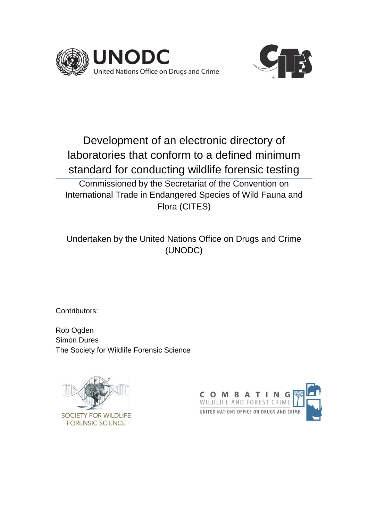



# Development of an electronic directory of laboratories that conform to a defined minimum standard for conducting wildlife forensic testing

Commissioned by the Secretariat of the Convention on International Trade in Endangered Species of Wild Fauna and Flora (CITES)

Undertaken by the United Nations Office on Drugs and Crime (UNODC)

Contributors:

Rob Ogden Simon Dures The Society for Wildlife Forensic Science



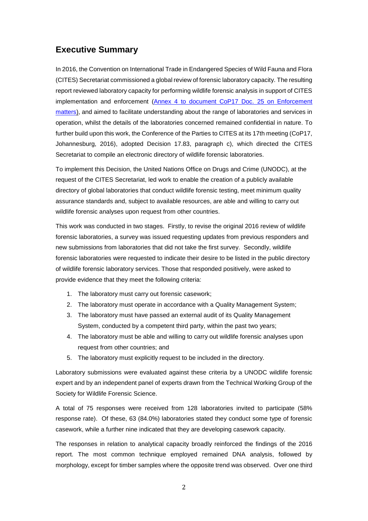### **Executive Summary**

In 2016, the Convention on International Trade in Endangered Species of Wild Fauna and Flora (CITES) Secretariat commissioned a global review of forensic laboratory capacity. The resulting report reviewed laboratory capacity for performing wildlife forensic analysis in support of CITES implementation and enforcement (Annex 4 [to document CoP17 Doc. 25 on Enforcement](https://cites.org/sites/default/files/eng/cop/17/WorkingDocs/E-CoP17-25-A4.pdf)  [matters\)](https://cites.org/sites/default/files/eng/cop/17/WorkingDocs/E-CoP17-25-A4.pdf), and aimed to facilitate understanding about the range of laboratories and services in operation, whilst the details of the laboratories concerned remained confidential in nature. To further build upon this work, the Conference of the Parties to CITES at its 17th meeting (CoP17, Johannesburg, 2016), adopted Decision 17.83, paragraph c), which directed the CITES Secretariat to compile an electronic directory of wildlife forensic laboratories.

To implement this Decision, the United Nations Office on Drugs and Crime (UNODC), at the request of the CITES Secretariat, led work to enable the creation of a publicly available directory of global laboratories that conduct wildlife forensic testing, meet minimum quality assurance standards and, subject to available resources, are able and willing to carry out wildlife forensic analyses upon request from other countries.

This work was conducted in two stages. Firstly, to revise the original 2016 review of wildlife forensic laboratories, a survey was issued requesting updates from previous responders and new submissions from laboratories that did not take the first survey. Secondly, wildlife forensic laboratories were requested to indicate their desire to be listed in the public directory of wildlife forensic laboratory services. Those that responded positively, were asked to provide evidence that they meet the following criteria:

- 1. The laboratory must carry out forensic casework;
- 2. The laboratory must operate in accordance with a Quality Management System;
- 3. The laboratory must have passed an external audit of its Quality Management System, conducted by a competent third party, within the past two years;
- 4. The laboratory must be able and willing to carry out wildlife forensic analyses upon request from other countries; and
- 5. The laboratory must explicitly request to be included in the directory.

Laboratory submissions were evaluated against these criteria by a UNODC wildlife forensic expert and by an independent panel of experts drawn from the Technical Working Group of the Society for Wildlife Forensic Science.

A total of 75 responses were received from 128 laboratories invited to participate (58% response rate). Of these, 63 (84.0%) laboratories stated they conduct some type of forensic casework, while a further nine indicated that they are developing casework capacity.

The responses in relation to analytical capacity broadly reinforced the findings of the 2016 report. The most common technique employed remained DNA analysis, followed by morphology, except for timber samples where the opposite trend was observed. Over one third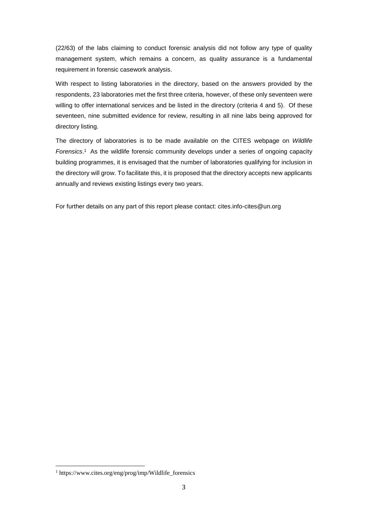(22/63) of the labs claiming to conduct forensic analysis did not follow any type of quality management system, which remains a concern, as quality assurance is a fundamental requirement in forensic casework analysis.

With respect to listing laboratories in the directory, based on the answers provided by the respondents, 23 laboratories met the first three criteria, however, of these only seventeen were willing to offer international services and be listed in the directory (criteria 4 and 5). Of these seventeen, nine submitted evidence for review, resulting in all nine labs being approved for directory listing.

The directory of laboratories is to be made available on the CITES webpage on *Wildlife*  Forensics.<sup>1</sup> As the wildlife forensic community develops under a series of ongoing capacity building programmes, it is envisaged that the number of laboratories qualifying for inclusion in the directory will grow. To facilitate this, it is proposed that the directory accepts new applicants annually and reviews existing listings every two years.

For further details on any part of this report please contact: cites.info-cites@un.org

 $\overline{a}$ 

<sup>1</sup> https://www.cites.org/eng/prog/imp/Wildlife\_forensics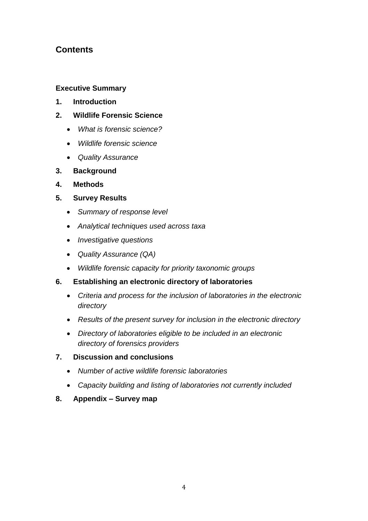# **Contents**

### **Executive Summary**

- **1. Introduction**
- **2. Wildlife Forensic Science**
	- *What is forensic science?*
	- *Wildlife forensic science*
	- *Quality Assurance*
- **3. Background**
- **4. Methods**

### **5. Survey Results**

- *Summary of response level*
- *Analytical techniques used across taxa*
- *Investigative questions*
- *Quality Assurance (QA)*
- *Wildlife forensic capacity for priority taxonomic groups*

### **6. Establishing an electronic directory of laboratories**

- *Criteria and process for the inclusion of laboratories in the electronic directory*
- *Results of the present survey for inclusion in the electronic directory*
- *Directory of laboratories eligible to be included in an electronic directory of forensics providers*

### **7. Discussion and conclusions**

- *Number of active wildlife forensic laboratories*
- *Capacity building and listing of laboratories not currently included*
- **8. Appendix – Survey map**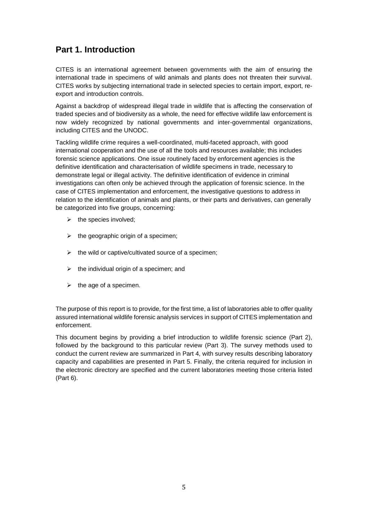# **Part 1. Introduction**

CITES is an international agreement between governments with the aim of ensuring the international trade in specimens of wild animals and plants does not threaten their survival. CITES works by subjecting international trade in selected species to certain import, export, reexport and introduction controls.

Against a backdrop of widespread illegal trade in wildlife that is affecting the conservation of traded species and of biodiversity as a whole, the need for effective wildlife law enforcement is now widely recognized by national governments and inter-governmental organizations, including CITES and the UNODC.

Tackling wildlife crime requires a well-coordinated, multi-faceted approach, with good international cooperation and the use of all the tools and resources available; this includes forensic science applications. One issue routinely faced by enforcement agencies is the definitive identification and characterisation of wildlife specimens in trade, necessary to demonstrate legal or illegal activity. The definitive identification of evidence in criminal investigations can often only be achieved through the application of forensic science. In the case of CITES implementation and enforcement, the investigative questions to address in relation to the identification of animals and plants, or their parts and derivatives, can generally be categorized into five groups, concerning:

- $\triangleright$  the species involved;
- $\triangleright$  the geographic origin of a specimen;
- $\triangleright$  the wild or captive/cultivated source of a specimen;
- $\triangleright$  the individual origin of a specimen; and
- $\triangleright$  the age of a specimen.

The purpose of this report is to provide, for the first time, a list of laboratories able to offer quality assured international wildlife forensic analysis services in support of CITES implementation and enforcement.

This document begins by providing a brief introduction to wildlife forensic science (Part 2), followed by the background to this particular review (Part 3). The survey methods used to conduct the current review are summarized in Part 4, with survey results describing laboratory capacity and capabilities are presented in Part 5. Finally, the criteria required for inclusion in the electronic directory are specified and the current laboratories meeting those criteria listed (Part 6).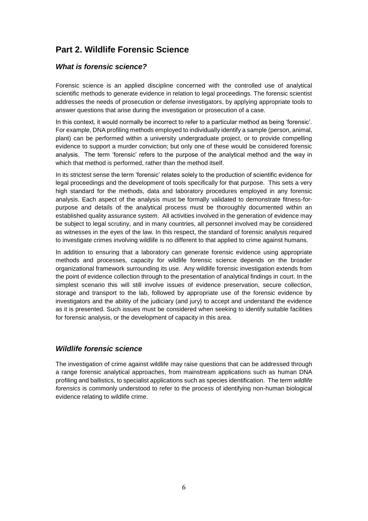# **Part 2. Wildlife Forensic Science**

### *What is forensic science?*

Forensic science is an applied discipline concerned with the controlled use of analytical scientific methods to generate evidence in relation to legal proceedings. The forensic scientist addresses the needs of prosecution or defense investigators, by applying appropriate tools to answer questions that arise during the investigation or prosecution of a case.

In this context, it would normally be incorrect to refer to a particular method as being 'forensic'. For example, DNA profiling methods employed to individually identify a sample (person, animal, plant) can be performed within a university undergraduate project, or to provide compelling evidence to support a murder conviction; but only one of these would be considered forensic analysis. The term 'forensic' refers to the purpose of the analytical method and the way in which that method is performed, rather than the method itself.

In its strictest sense the term 'forensic' relates solely to the production of scientific evidence for legal proceedings and the development of tools specifically for that purpose. This sets a very high standard for the methods, data and laboratory procedures employed in any forensic analysis. Each aspect of the analysis must be formally validated to demonstrate fitness-forpurpose and details of the analytical process must be thoroughly documented within an established quality assurance system. All activities involved in the generation of evidence may be subject to legal scrutiny, and in many countries, all personnel involved may be considered as witnesses in the eyes of the law. In this respect, the standard of forensic analysis required to investigate crimes involving wildlife is no different to that applied to crime against humans.

In addition to ensuring that a laboratory can generate forensic evidence using appropriate methods and processes, capacity for wildlife forensic science depends on the broader organizational framework surrounding its use. Any wildlife forensic investigation extends from the point of evidence collection through to the presentation of analytical findings in court. In the simplest scenario this will still involve issues of evidence preservation, secure collection, storage and transport to the lab, followed by appropriate use of the forensic evidence by investigators and the ability of the judiciary (and jury) to accept and understand the evidence as it is presented. Such issues must be considered when seeking to identify suitable facilities for forensic analysis, or the development of capacity in this area.

### *Wildlife forensic science*

The investigation of crime against wildlife may raise questions that can be addressed through a range forensic analytical approaches, from mainstream applications such as human DNA profiling and ballistics, to specialist applications such as species identification. The term *wildlife forensics* is commonly understood to refer to the process of identifying non-human biological evidence relating to wildlife crime.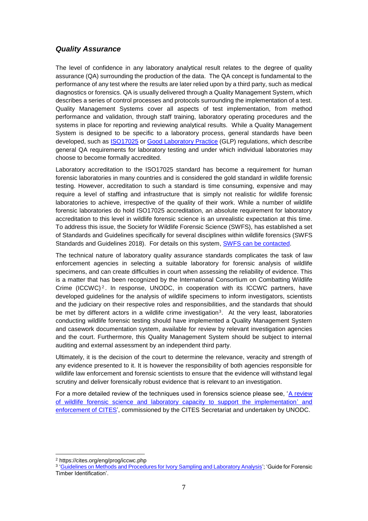### *Quality Assurance*

The level of confidence in any laboratory analytical result relates to the degree of quality assurance (QA) surrounding the production of the data. The QA concept is fundamental to the performance of any test where the results are later relied upon by a third party, such as medical diagnostics or forensics. QA is usually delivered through a Quality Management System, which describes a series of control processes and protocols surrounding the implementation of a test. Quality Management Systems cover all aspects of test implementation, from method performance and validation, through staff training, laboratory operating procedures and the systems in place for reporting and reviewing analytical results. While a Quality Management System is designed to be specific to a laboratory process, general standards have been developed, such as [ISO17025](https://www.iso.org/standard/66912.html) or [Good Laboratory Practice](http://www.oecd.org/chemicalsafety/testing/good-laboratory-practiceglp.htm) (GLP) regulations, which describe general QA requirements for laboratory testing and under which individual laboratories may choose to become formally accredited.

Laboratory accreditation to the ISO17025 standard has become a requirement for human forensic laboratories in many countries and is considered the gold standard in wildlife forensic testing. However, accreditation to such a standard is time consuming, expensive and may require a level of staffing and infrastructure that is simply not realistic for wildlife forensic laboratories to achieve, irrespective of the quality of their work. While a number of wildlife forensic laboratories do hold ISO17025 accreditation, an absolute requirement for laboratory accreditation to this level in wildlife forensic science is an unrealistic expectation at this time. To address this issue, the Society for Wildlife Forensic Science (SWFS), has established a set of Standards and Guidelines specifically for several disciplines within wildlife forensics (SWFS Standards and Guidelines 2018). For details on this system, [SWFS](http://www.wildlifeforensicscience.org/) can be contacted.

The technical nature of laboratory quality assurance standards complicates the task of law enforcement agencies in selecting a suitable laboratory for forensic analysis of wildlife specimens, and can create difficulties in court when assessing the reliability of evidence. This is a matter that has been recognized by the International Consortium on Combatting Wildlife Crime  $(ICCWC)^2$ . In response, UNODC, in cooperation with its ICCWC partners, have developed guidelines for the analysis of wildlife specimens to inform investigators, scientists and the judiciary on their respective roles and responsibilities, and the standards that should be met by different actors in a wildlife crime investigation<sup>3</sup>. At the very least, laboratories conducting wildlife forensic testing should have implemented a Quality Management System and casework documentation system, available for review by relevant investigation agencies and the court. Furthermore, this Quality Management System should be subject to internal auditing and external assessment by an independent third party.

Ultimately, it is the decision of the court to determine the relevance, veracity and strength of any evidence presented to it. It is however the responsibility of both agencies responsible for wildlife law enforcement and forensic scientists to ensure that the evidence will withstand legal scrutiny and deliver forensically robust evidence that is relevant to an investigation.

For a more detailed review of the techniques used in forensics science please see, ['A review](https://cites.org/sites/default/files/eng/cop/17/WorkingDocs/E-CoP17-25-A4.pdf)  [of wildlife forensic science and laboratory capacity to support the implementation'](https://cites.org/sites/default/files/eng/cop/17/WorkingDocs/E-CoP17-25-A4.pdf) and [enforcement of CITES'](https://cites.org/sites/default/files/eng/cop/17/WorkingDocs/E-CoP17-25-A4.pdf), commissioned by the CITES Secretariat and undertaken by UNODC.

 $\overline{a}$ 

<sup>2</sup> https://cites.org/eng/prog/iccwc.php

<sup>&</sup>lt;sup>3</sup> ['Guidelines on Methods and Procedures for Ivory Sampling and Laboratory Analysis'](https://cites.org/eng/prog/iccwc.php/Tools); 'Guide for Forensic Timber Identification'.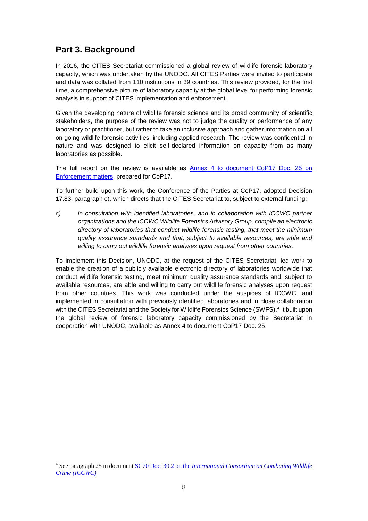# **Part 3. Background**

 $\overline{a}$ 

In 2016, the CITES Secretariat commissioned a global review of wildlife forensic laboratory capacity, which was undertaken by the UNODC. All CITES Parties were invited to participate and data was collated from 110 institutions in 39 countries. This review provided, for the first time, a comprehensive picture of laboratory capacity at the global level for performing forensic analysis in support of CITES implementation and enforcement.

Given the developing nature of wildlife forensic science and its broad community of scientific stakeholders, the purpose of the review was not to judge the quality or performance of any laboratory or practitioner, but rather to take an inclusive approach and gather information on all on going wildlife forensic activities, including applied research. The review was confidential in nature and was designed to elicit self-declared information on capacity from as many laboratories as possible.

The full report on the review is available as [Annex 4 to document CoP17 Doc. 25 on](https://cites.org/sites/default/files/eng/cop/17/WorkingDocs/E-CoP17-25-A4.pdf)  [Enforcement matters,](https://cites.org/sites/default/files/eng/cop/17/WorkingDocs/E-CoP17-25-A4.pdf) prepared for CoP17.

To further build upon this work, the Conference of the Parties at CoP17, adopted Decision 17.83, paragraph c), which directs that the CITES Secretariat to, subject to external funding:

*c) in consultation with identified laboratories, and in collaboration with ICCWC partner organizations and the ICCWC Wildlife Forensics Advisory Group, compile an electronic directory of laboratories that conduct wildlife forensic testing, that meet the minimum quality assurance standards and that, subject to available resources, are able and willing to carry out wildlife forensic analyses upon request from other countries.*

To implement this Decision, UNODC, at the request of the CITES Secretariat, led work to enable the creation of a publicly available electronic directory of laboratories worldwide that conduct wildlife forensic testing, meet minimum quality assurance standards and, subject to available resources, are able and willing to carry out wildlife forensic analyses upon request from other countries. This work was conducted under the auspices of ICCWC, and implemented in consultation with previously identified laboratories and in close collaboration with the CITES Secretariat and the Society for Wildlife Forensics Science (SWFS).<sup>4</sup> It built upon the global review of forensic laboratory capacity commissioned by the Secretariat in cooperation with UNODC, available as [Annex 4 to document CoP17 Doc. 25.](https://cites.org/sites/default/files/eng/cop/17/WorkingDocs/E-CoP17-25-A4.pdf)

<sup>4</sup> See paragraph 25 in document SC70 Doc. 30.2 on the *[International Consortium on Combating Wildlife](https://cites.org/sites/default/files/eng/com/sc/70/E-SC70-30-02.pdf)  [Crime \(ICCWC\)](https://cites.org/sites/default/files/eng/com/sc/70/E-SC70-30-02.pdf)*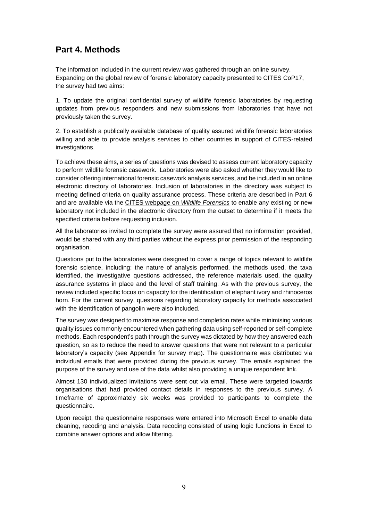### **Part 4. Methods**

The information included in the current review was gathered through an online survey. Expanding on the global review of forensic laboratory capacity presented to CITES CoP17, the survey had two aims:

1. To update the original confidential survey of wildlife forensic laboratories by requesting updates from previous responders and new submissions from laboratories that have not previously taken the survey.

2. To establish a publically available database of quality assured wildlife forensic laboratories willing and able to provide analysis services to other countries in support of CITES-related investigations.

To achieve these aims, a series of questions was devised to assess current laboratory capacity to perform wildlife forensic casework. Laboratories were also asked whether they would like to consider offering international forensic casework analysis services, and be included in an online electronic directory of laboratories. Inclusion of laboratories in the directory was subject to meeting defined criteria on quality assurance process. These criteria are described in Part 6 and are available via the [CITES webpage on](https://www.cites.org/eng/prog/imp/Wildlife_forensics) *Wildlife Forensics* to enable any existing or new laboratory not included in the electronic directory from the outset to determine if it meets the specified criteria before requesting inclusion.

All the laboratories invited to complete the survey were assured that no information provided, would be shared with any third parties without the express prior permission of the responding organisation.

Questions put to the laboratories were designed to cover a range of topics relevant to wildlife forensic science, including: the nature of analysis performed, the methods used, the taxa identified, the investigative questions addressed, the reference materials used, the quality assurance systems in place and the level of staff training. As with the previous survey, the review included specific focus on capacity for the identification of elephant ivory and rhinoceros horn. For the current survey, questions regarding laboratory capacity for methods associated with the identification of pangolin were also included.

The survey was designed to maximise response and completion rates while minimising various quality issues commonly encountered when gathering data using self-reported or self-complete methods. Each respondent's path through the survey was dictated by how they answered each question, so as to reduce the need to answer questions that were not relevant to a particular laboratory's capacity (see Appendix for survey map). The questionnaire was distributed via individual emails that were provided during the previous survey. The emails explained the purpose of the survey and use of the data whilst also providing a unique respondent link.

Almost 130 individualized invitations were sent out via email. These were targeted towards organisations that had provided contact details in responses to the previous survey. A timeframe of approximately six weeks was provided to participants to complete the questionnaire.

Upon receipt, the questionnaire responses were entered into Microsoft Excel to enable data cleaning, recoding and analysis. Data recoding consisted of using logic functions in Excel to combine answer options and allow filtering.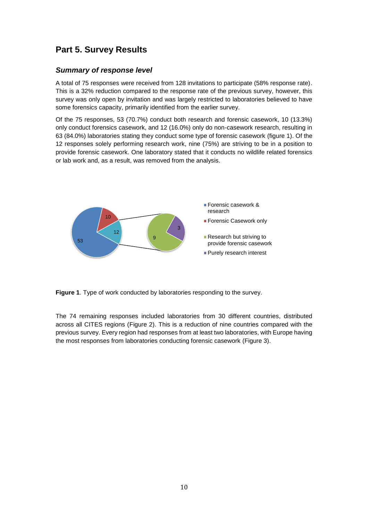# **Part 5. Survey Results**

### *Summary of response level*

A total of 75 responses were received from 128 invitations to participate (58% response rate). This is a 32% reduction compared to the response rate of the previous survey, however, this survey was only open by invitation and was largely restricted to laboratories believed to have some forensics capacity, primarily identified from the earlier survey.

Of the 75 responses, 53 (70.7%) conduct both research and forensic casework, 10 (13.3%) only conduct forensics casework, and 12 (16.0%) only do non-casework research, resulting in 63 (84.0%) laboratories stating they conduct some type of forensic casework (figure 1). Of the 12 responses solely performing research work, nine (75%) are striving to be in a position to provide forensic casework. One laboratory stated that it conducts no wildlife related forensics or lab work and, as a result, was removed from the analysis.



**Figure 1**. Type of work conducted by laboratories responding to the survey.

The 74 remaining responses included laboratories from 30 different countries, distributed across all CITES regions (Figure 2). This is a reduction of nine countries compared with the previous survey. Every region had responses from at least two laboratories, with Europe having the most responses from laboratories conducting forensic casework (Figure 3).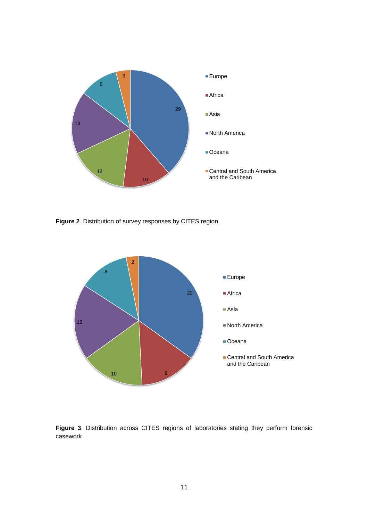

**Figure 2**. Distribution of survey responses by CITES region.



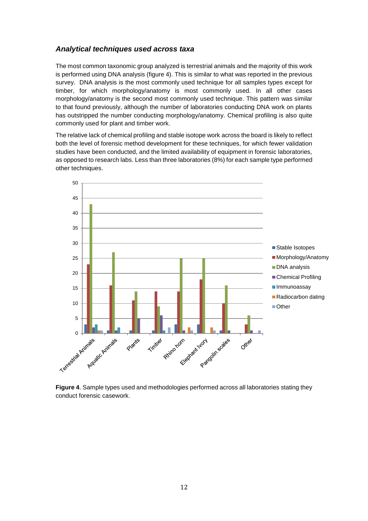### *Analytical techniques used across taxa*

The most common taxonomic group analyzed is terrestrial animals and the majority of this work is performed using DNA analysis (figure 4). This is similar to what was reported in the previous survey. DNA analysis is the most commonly used technique for all samples types except for timber, for which morphology/anatomy is most commonly used. In all other cases morphology/anatomy is the second most commonly used technique. This pattern was similar to that found previously, although the number of laboratories conducting DNA work on plants has outstripped the number conducting morphology/anatomy. Chemical profiling is also quite commonly used for plant and timber work.

The relative lack of chemical profiling and stable isotope work across the board is likely to reflect both the level of forensic method development for these techniques, for which fewer validation studies have been conducted, and the limited availability of equipment in forensic laboratories, as opposed to research labs. Less than three laboratories (8%) for each sample type performed other techniques.



**Figure 4**. Sample types used and methodologies performed across all laboratories stating they conduct forensic casework.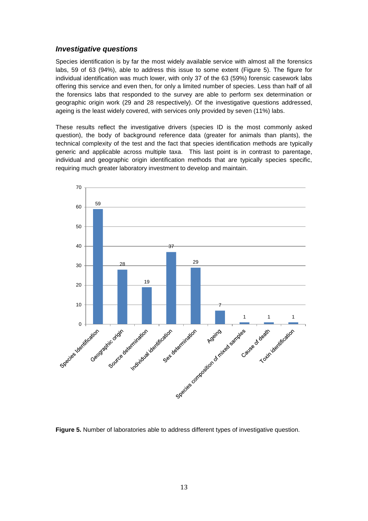#### *Investigative questions*

Species identification is by far the most widely available service with almost all the forensics labs, 59 of 63 (94%), able to address this issue to some extent (Figure 5). The figure for individual identification was much lower, with only 37 of the 63 (59%) forensic casework labs offering this service and even then, for only a limited number of species. Less than half of all the forensics labs that responded to the survey are able to perform sex determination or geographic origin work (29 and 28 respectively). Of the investigative questions addressed, ageing is the least widely covered, with services only provided by seven (11%) labs.

These results reflect the investigative drivers (species ID is the most commonly asked question), the body of background reference data (greater for animals than plants), the technical complexity of the test and the fact that species identification methods are typically generic and applicable across multiple taxa. This last point is in contrast to parentage, individual and geographic origin identification methods that are typically species specific, requiring much greater laboratory investment to develop and maintain.



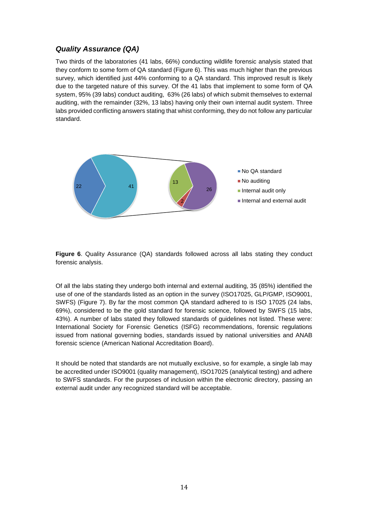### *Quality Assurance (QA)*

Two thirds of the laboratories (41 labs, 66%) conducting wildlife forensic analysis stated that they conform to some form of QA standard (Figure 6). This was much higher than the previous survey, which identified just 44% conforming to a QA standard. This improved result is likely due to the targeted nature of this survey. Of the 41 labs that implement to some form of QA system, 95% (39 labs) conduct auditing, 63% (26 labs) of which submit themselves to external auditing, with the remainder (32%, 13 labs) having only their own internal audit system. Three labs provided conflicting answers stating that whist conforming, they do not follow any particular standard.



**Figure 6**. Quality Assurance (QA) standards followed across all labs stating they conduct forensic analysis.

Of all the labs stating they undergo both internal and external auditing, 35 (85%) identified the use of one of the standards listed as an option in the survey (ISO17025, GLP/GMP, ISO9001, SWFS) (Figure 7). By far the most common QA standard adhered to is ISO 17025 (24 labs, 69%), considered to be the gold standard for forensic science, followed by SWFS (15 labs, 43%). A number of labs stated they followed standards of guidelines not listed. These were: International Society for Forensic Genetics (ISFG) recommendations, forensic regulations issued from national governing bodies, standards issued by national universities and ANAB forensic science (American National Accreditation Board).

It should be noted that standards are not mutually exclusive, so for example, a single lab may be accredited under ISO9001 (quality management), ISO17025 (analytical testing) and adhere to SWFS standards. For the purposes of inclusion within the electronic directory, passing an external audit under any recognized standard will be acceptable.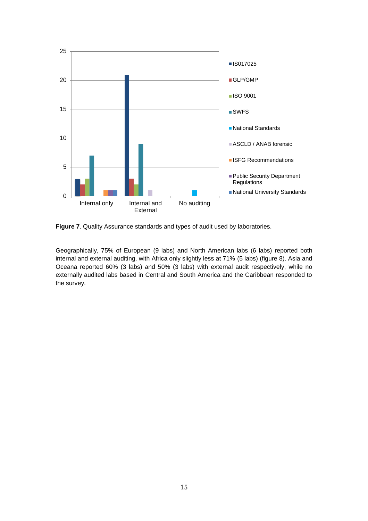

**Figure 7**. Quality Assurance standards and types of audit used by laboratories.

Geographically, 75% of European (9 labs) and North American labs (6 labs) reported both internal and external auditing, with Africa only slightly less at 71% (5 labs) (figure 8). Asia and Oceana reported 60% (3 labs) and 50% (3 labs) with external audit respectively, while no externally audited labs based in Central and South America and the Caribbean responded to the survey.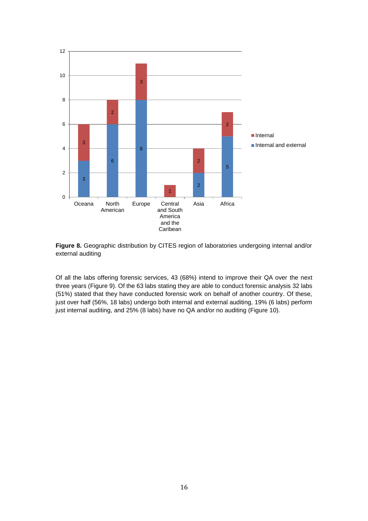

**Figure 8.** Geographic distribution by CITES region of laboratories undergoing internal and/or external auditing

Of all the labs offering forensic services, 43 (68%) intend to improve their QA over the next three years (Figure 9). Of the 63 labs stating they are able to conduct forensic analysis 32 labs (51%) stated that they have conducted forensic work on behalf of another country. Of these, just over half (56%, 18 labs) undergo both internal and external auditing, 19% (6 labs) perform just internal auditing, and 25% (8 labs) have no QA and/or no auditing (Figure 10).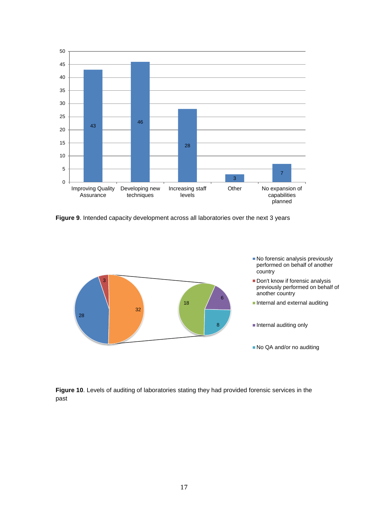

**Figure 9**. Intended capacity development across all laboratories over the next 3 years



**Figure 10**. Levels of auditing of laboratories stating they had provided forensic services in the past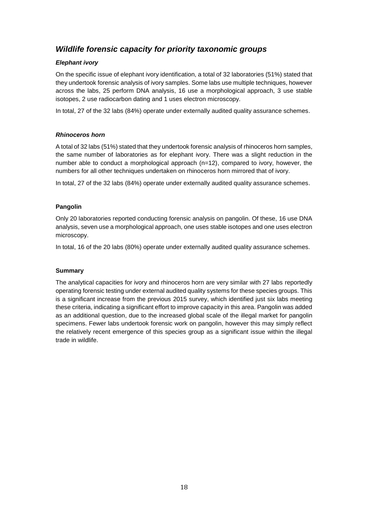### *Wildlife forensic capacity for priority taxonomic groups*

### *Elephant ivory*

On the specific issue of elephant ivory identification, a total of 32 laboratories (51%) stated that they undertook forensic analysis of ivory samples. Some labs use multiple techniques, however across the labs, 25 perform DNA analysis, 16 use a morphological approach, 3 use stable isotopes, 2 use radiocarbon dating and 1 uses electron microscopy.

In total, 27 of the 32 labs (84%) operate under externally audited quality assurance schemes.

### *Rhinoceros horn*

A total of 32 labs (51%) stated that they undertook forensic analysis of rhinoceros horn samples, the same number of laboratories as for elephant ivory. There was a slight reduction in the number able to conduct a morphological approach (n=12), compared to ivory, however, the numbers for all other techniques undertaken on rhinoceros horn mirrored that of ivory.

In total, 27 of the 32 labs (84%) operate under externally audited quality assurance schemes.

### **Pangolin**

Only 20 laboratories reported conducting forensic analysis on pangolin. Of these, 16 use DNA analysis, seven use a morphological approach, one uses stable isotopes and one uses electron microscopy.

In total, 16 of the 20 labs (80%) operate under externally audited quality assurance schemes.

### **Summary**

The analytical capacities for ivory and rhinoceros horn are very similar with 27 labs reportedly operating forensic testing under external audited quality systems for these species groups. This is a significant increase from the previous 2015 survey, which identified just six labs meeting these criteria, indicating a significant effort to improve capacity in this area. Pangolin was added as an additional question, due to the increased global scale of the illegal market for pangolin specimens. Fewer labs undertook forensic work on pangolin, however this may simply reflect the relatively recent emergence of this species group as a significant issue within the illegal trade in wildlife.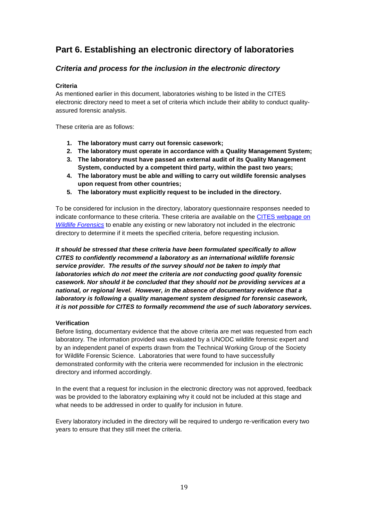# **Part 6. Establishing an electronic directory of laboratories**

### *Criteria and process for the inclusion in the electronic directory*

#### **Criteria**

As mentioned earlier in this document, laboratories wishing to be listed in the CITES electronic directory need to meet a set of criteria which include their ability to conduct qualityassured forensic analysis.

These criteria are as follows:

- **1. The laboratory must carry out forensic casework;**
- **2. The laboratory must operate in accordance with a Quality Management System;**
- **3. The laboratory must have passed an external audit of its Quality Management System, conducted by a competent third party, within the past two years;**
- **4. The laboratory must be able and willing to carry out wildlife forensic analyses upon request from other countries;**
- **5. The laboratory must explicitly request to be included in the directory.**

To be considered for inclusion in the directory, laboratory questionnaire responses needed to indicate conformance to these criteria. These criteria are available on the [CITES webpage on](https://www.cites.org/eng/prog/imp/Wildlife_forensics)  *[Wildlife Forensics](https://www.cites.org/eng/prog/imp/Wildlife_forensics)* to enable any existing or new laboratory not included in the electronic directory to determine if it meets the specified criteria, before requesting inclusion.

*It should be stressed that these criteria have been formulated specifically to allow CITES to confidently recommend a laboratory as an international wildlife forensic service provider. The results of the survey should not be taken to imply that laboratories which do not meet the criteria are not conducting good quality forensic casework. Nor should it be concluded that they should not be providing services at a national, or regional level. However, in the absence of documentary evidence that a laboratory is following a quality management system designed for forensic casework, it is not possible for CITES to formally recommend the use of such laboratory services.*

#### **Verification**

Before listing, documentary evidence that the above criteria are met was requested from each laboratory. The information provided was evaluated by a UNODC wildlife forensic expert and by an independent panel of experts drawn from the Technical Working Group of the Society for Wildlife Forensic Science. Laboratories that were found to have successfully demonstrated conformity with the criteria were recommended for inclusion in the electronic directory and informed accordingly.

In the event that a request for inclusion in the electronic directory was not approved, feedback was be provided to the laboratory explaining why it could not be included at this stage and what needs to be addressed in order to qualify for inclusion in future.

Every laboratory included in the directory will be required to undergo re-verification every two years to ensure that they still meet the criteria.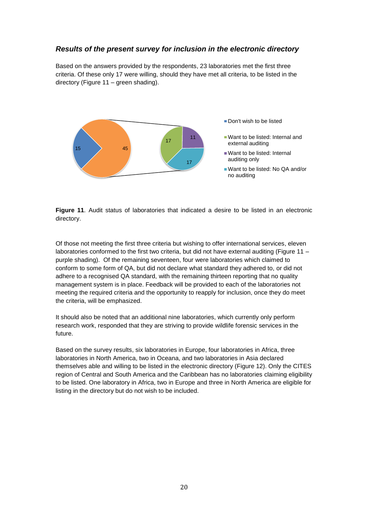### *Results of the present survey for inclusion in the electronic directory*

Based on the answers provided by the respondents, 23 laboratories met the first three criteria. Of these only 17 were willing, should they have met all criteria, to be listed in the directory (Figure 11 – green shading).



**Figure 11**. Audit status of laboratories that indicated a desire to be listed in an electronic directory.

Of those not meeting the first three criteria but wishing to offer international services, eleven laboratories conformed to the first two criteria, but did not have external auditing (Figure 11 – purple shading). Of the remaining seventeen, four were laboratories which claimed to conform to some form of QA, but did not declare what standard they adhered to, or did not adhere to a recognised QA standard, with the remaining thirteen reporting that no quality management system is in place. Feedback will be provided to each of the laboratories not meeting the required criteria and the opportunity to reapply for inclusion, once they do meet the criteria, will be emphasized.

It should also be noted that an additional nine laboratories, which currently only perform research work, responded that they are striving to provide wildlife forensic services in the future.

Based on the survey results, six laboratories in Europe, four laboratories in Africa, three laboratories in North America, two in Oceana, and two laboratories in Asia declared themselves able and willing to be listed in the electronic directory (Figure 12). Only the CITES region of Central and South America and the Caribbean has no laboratories claiming eligibility to be listed. One laboratory in Africa, two in Europe and three in North America are eligible for listing in the directory but do not wish to be included.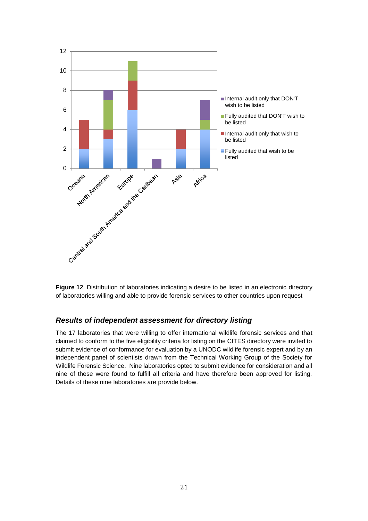

**Figure 12**. Distribution of laboratories indicating a desire to be listed in an electronic directory of laboratories willing and able to provide forensic services to other countries upon request

### *Results of independent assessment for directory listing*

The 17 laboratories that were willing to offer international wildlife forensic services and that claimed to conform to the five eligibility criteria for listing on the CITES directory were invited to submit evidence of conformance for evaluation by a UNODC wildlife forensic expert and by an independent panel of scientists drawn from the Technical Working Group of the Society for Wildlife Forensic Science. Nine laboratories opted to submit evidence for consideration and all nine of these were found to fulfill all criteria and have therefore been approved for listing. Details of these nine laboratories are provide below.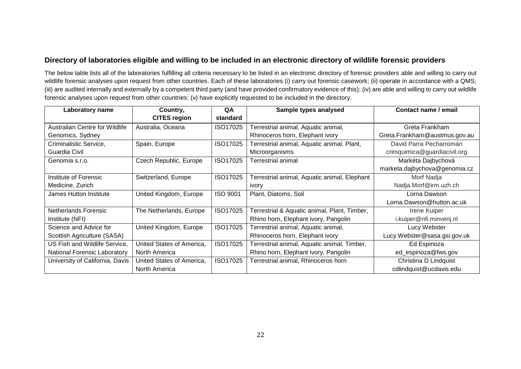### **Directory of laboratories eligible and willing to be included in an electronic directory of wildlife forensic providers**

The below table lists all of the laboratories fulfilling all criteria necessary to be listed in an electronic directory of forensic providers able and willing to carry out wildlife forensic analyses upon request from other countries. Each of these laboratories (i) carry out forensic casework; (ii) operate in accordance with a QMS; (iii) are audited internally and externally by a competent third party (and have provided confirmatory evidence of this); (iv) are able and willing to carry out wildlife forensic analyses upon request from other countries; (v) have explicitly requested to be included in the directory.

| Laboratory name                       | Country,                  | QA              | Sample types analysed                        | Contact name / email          |
|---------------------------------------|---------------------------|-----------------|----------------------------------------------|-------------------------------|
|                                       | <b>CITES region</b>       | standard        |                                              |                               |
| <b>Australian Centre for Wildlife</b> | Australia, Oceana         | ISO17025        | Terrestrial animal, Aquatic animal,          | Greta Frankham                |
| Genomics, Sydney                      |                           |                 | Rhinoceros horn, Elephant ivory              | Greta.Frankham@austmus.gov.au |
| Criminalistic Service,                | Spain, Europe             | ISO17025        | Terrestrial animal, Aquatic animal, Plant,   | David Parra Pecharromán       |
| Guardia Civil                         |                           |                 | Microorganisms                               | crimquimica@guardiacivil.org  |
| Genomia s.r.o.                        | Czech Republic, Europe    | ISO17025        | Terrestrial animal                           | Markéta Dajbychová            |
|                                       |                           |                 |                                              | marketa.dajbychova@genomia.cz |
| Institute of Forensic                 | Switzerland, Europe       | ISO17025        | Terrestrial animal, Aquatic animal, Elephant | Morf Nadja                    |
| Medicine, Zurich                      |                           |                 | ivory                                        | Nadja.Morf@irm.uzh.ch         |
| James Hutton Institute                | United Kingdom, Europe    | <b>ISO 9001</b> | Plant, Diatoms, Soil                         | Lorna Dawson                  |
|                                       |                           |                 |                                              | Lorna.Dawson@hutton.ac.uk     |
| <b>Netherlands Forensic</b>           | The Netherlands, Europe   | ISO17025        | Terrestrial & Aquatic animal, Plant, Timber, | Irene Kuiper                  |
| Institute (NFI)                       |                           |                 | Rhino horn, Elephant ivory, Pangolin         | i.kuiper@nfi.minvenj.nl       |
| Science and Advice for                | United Kingdom, Europe    | ISO17025        | Terrestrial animal, Aquatic animal,          | Lucy Webster                  |
| Scottish Agriculture (SASA)           |                           |                 | Rhinoceros horn, Elephant ivory              | Lucy.Webster@sasa.gsi.gov.uk  |
| US Fish and Wildlife Service,         | United States of America, | ISO17025        | Terrestrial animal, Aquatic animal, Timber,  | Ed Espinoza                   |
| National Forensic Laboratory          | North America             |                 | Rhino horn, Elephant ivory, Pangolin         | ed_espinoza@fws.gov           |
| University of California, Davis       | United States of America, | ISO17025        | Terrestrial animal, Rhinoceros horn          | Christina D Lindquist         |
|                                       | North America             |                 |                                              | cdlindquist@ucdavis.edu       |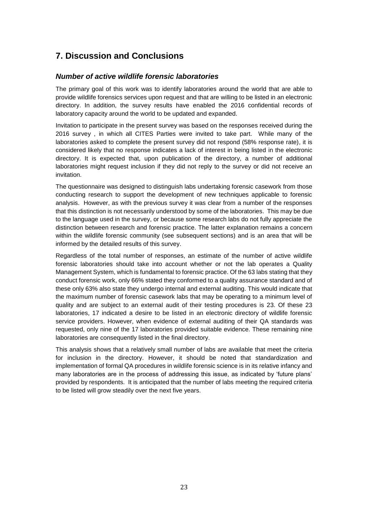# **7. Discussion and Conclusions**

### *Number of active wildlife forensic laboratories*

The primary goal of this work was to identify laboratories around the world that are able to provide wildlife forensics services upon request and that are willing to be listed in an electronic directory. In addition, the survey results have enabled the 2016 confidential records of laboratory capacity around the world to be updated and expanded.

Invitation to participate in the present survey was based on the responses received during the 2016 survey , in which all CITES Parties were invited to take part. While many of the laboratories asked to complete the present survey did not respond (58% response rate), it is considered likely that no response indicates a lack of interest in being listed in the electronic directory. It is expected that, upon publication of the directory, a number of additional laboratories might request inclusion if they did not reply to the survey or did not receive an invitation.

The questionnaire was designed to distinguish labs undertaking forensic casework from those conducting research to support the development of new techniques applicable to forensic analysis. However, as with the previous survey it was clear from a number of the responses that this distinction is not necessarily understood by some of the laboratories. This may be due to the language used in the survey, or because some research labs do not fully appreciate the distinction between research and forensic practice. The latter explanation remains a concern within the wildlife forensic community (see subsequent sections) and is an area that will be informed by the detailed results of this survey.

Regardless of the total number of responses, an estimate of the number of active wildlife forensic laboratories should take into account whether or not the lab operates a Quality Management System, which is fundamental to forensic practice. Of the 63 labs stating that they conduct forensic work, only 66% stated they conformed to a quality assurance standard and of these only 63% also state they undergo internal and external auditing. This would indicate that the maximum number of forensic casework labs that may be operating to a minimum level of quality and are subject to an external audit of their testing procedures is 23. Of these 23 laboratories, 17 indicated a desire to be listed in an electronic directory of wildlife forensic service providers. However, when evidence of external auditing of their QA standards was requested, only nine of the 17 laboratories provided suitable evidence. These remaining nine laboratories are consequently listed in the final directory.

This analysis shows that a relatively small number of labs are available that meet the criteria for inclusion in the directory. However, it should be noted that standardization and implementation of formal QA procedures in wildlife forensic science is in its relative infancy and many laboratories are in the process of addressing this issue, as indicated by 'future plans' provided by respondents. It is anticipated that the number of labs meeting the required criteria to be listed will grow steadily over the next five years.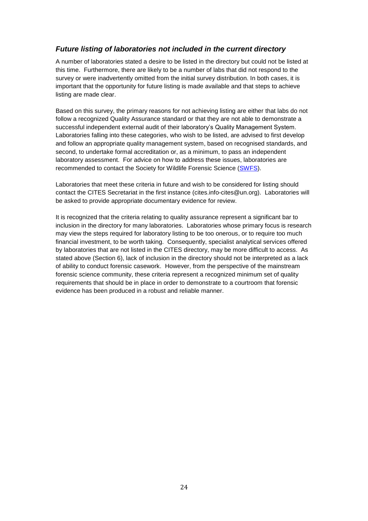### *Future listing of laboratories not included in the current directory*

A number of laboratories stated a desire to be listed in the directory but could not be listed at this time. Furthermore, there are likely to be a number of labs that did not respond to the survey or were inadvertently omitted from the initial survey distribution. In both cases, it is important that the opportunity for future listing is made available and that steps to achieve listing are made clear.

Based on this survey, the primary reasons for not achieving listing are either that labs do not follow a recognized Quality Assurance standard or that they are not able to demonstrate a successful independent external audit of their laboratory's Quality Management System. Laboratories falling into these categories, who wish to be listed, are advised to first develop and follow an appropriate quality management system, based on recognised standards, and second, to undertake formal accreditation or, as a minimum, to pass an independent laboratory assessment. For advice on how to address these issues, laboratories are recommended to contact the Society for Wildlife Forensic Science [\(SWFS\)](http://www.wildlifeforensicscience.org/).

Laboratories that meet these criteria in future and wish to be considered for listing should contact the CITES Secretariat in the first instance (cites.info-cites@un.org). Laboratories will be asked to provide appropriate documentary evidence for review.

It is recognized that the criteria relating to quality assurance represent a significant bar to inclusion in the directory for many laboratories. Laboratories whose primary focus is research may view the steps required for laboratory listing to be too onerous, or to require too much financial investment, to be worth taking. Consequently, specialist analytical services offered by laboratories that are not listed in the CITES directory, may be more difficult to access. As stated above (Section 6), lack of inclusion in the directory should not be interpreted as a lack of ability to conduct forensic casework. However, from the perspective of the mainstream forensic science community, these criteria represent a recognized minimum set of quality requirements that should be in place in order to demonstrate to a courtroom that forensic evidence has been produced in a robust and reliable manner.